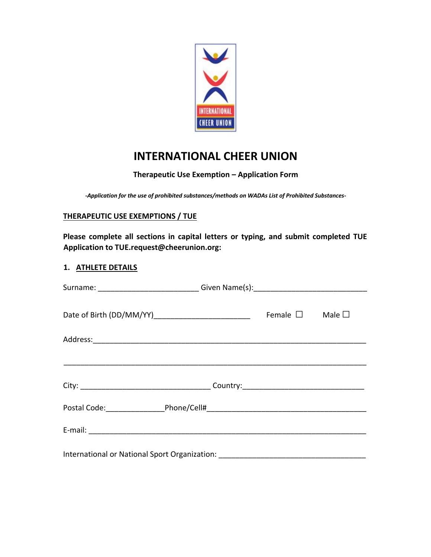

# **INTERNATIONAL CHEER UNION**

# **Therapeutic Use Exemption – Application Form**

*-Application for the use of prohibited substances/methods on WADAs List of Prohibited Substances-*

## **THERAPEUTIC USE EXEMPTIONS / TUE**

**Please complete all sections in capital letters or typing, and submit completed TUE Application to TUE.request@cheerunion.org:** 

## **1. ATHLETE DETAILS**

| Surname: _____________________________Given Name(s): ___________________________ |  |                  |                |
|----------------------------------------------------------------------------------|--|------------------|----------------|
|                                                                                  |  | Female $\square$ | Male $\square$ |
|                                                                                  |  |                  |                |
|                                                                                  |  |                  |                |
|                                                                                  |  |                  |                |
|                                                                                  |  |                  |                |
|                                                                                  |  |                  |                |
| International or National Sport Organization: __________________________________ |  |                  |                |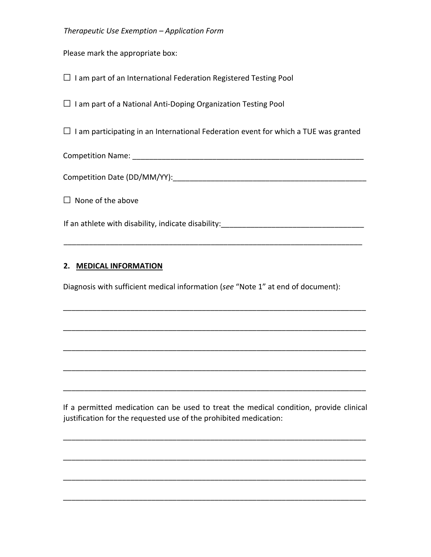## *Therapeutic Use Exemption – Application Form*

Please mark the appropriate box:

 $\square$  I am part of an International Federation Registered Testing Pool

 $\square$  I am part of a National Anti-Doping Organization Testing Pool

 $\square$  I am participating in an International Federation event for which a TUE was granted

Competition Name: etc. and the set of the set of the set of the set of the set of the set of the set of the set of the set of the set of the set of the set of the set of the set of the set of the set of the set of the set

Competition Date (DD/MM/YY):

 $\Box$  None of the above

If an athlete with disability, indicate disability:

\_\_\_\_\_\_\_\_\_\_\_\_\_\_\_\_\_\_\_\_\_\_\_\_\_\_\_\_\_\_\_\_\_\_\_\_\_\_\_\_\_\_\_\_\_\_\_\_\_\_\_\_\_\_\_\_\_\_\_\_\_\_\_\_\_\_\_\_\_\_\_

\_\_\_\_\_\_\_\_\_\_\_\_\_\_\_\_\_\_\_\_\_\_\_\_\_\_\_\_\_\_\_\_\_\_\_\_\_\_\_\_\_\_\_\_\_\_\_\_\_\_\_\_\_\_\_\_\_\_\_\_\_\_\_\_\_\_\_\_\_\_\_\_

\_\_\_\_\_\_\_\_\_\_\_\_\_\_\_\_\_\_\_\_\_\_\_\_\_\_\_\_\_\_\_\_\_\_\_\_\_\_\_\_\_\_\_\_\_\_\_\_\_\_\_\_\_\_\_\_\_\_\_\_\_\_\_\_\_\_\_\_\_\_\_\_

\_\_\_\_\_\_\_\_\_\_\_\_\_\_\_\_\_\_\_\_\_\_\_\_\_\_\_\_\_\_\_\_\_\_\_\_\_\_\_\_\_\_\_\_\_\_\_\_\_\_\_\_\_\_\_\_\_\_\_\_\_\_\_\_\_\_\_\_\_\_\_\_

\_\_\_\_\_\_\_\_\_\_\_\_\_\_\_\_\_\_\_\_\_\_\_\_\_\_\_\_\_\_\_\_\_\_\_\_\_\_\_\_\_\_\_\_\_\_\_\_\_\_\_\_\_\_\_\_\_\_\_\_\_\_\_\_\_\_\_\_\_\_\_\_

\_\_\_\_\_\_\_\_\_\_\_\_\_\_\_\_\_\_\_\_\_\_\_\_\_\_\_\_\_\_\_\_\_\_\_\_\_\_\_\_\_\_\_\_\_\_\_\_\_\_\_\_\_\_\_\_\_\_\_\_\_\_\_\_\_\_\_\_\_\_\_\_

#### **2. MEDICAL INFORMATION**

Diagnosis with sufficient medical information (*see* "Note 1" at end of document):

If a permitted medication can be used to treat the medical condition, provide clinical justification for the requested use of the prohibited medication:

\_\_\_\_\_\_\_\_\_\_\_\_\_\_\_\_\_\_\_\_\_\_\_\_\_\_\_\_\_\_\_\_\_\_\_\_\_\_\_\_\_\_\_\_\_\_\_\_\_\_\_\_\_\_\_\_\_\_\_\_\_\_\_\_\_\_\_\_\_\_\_\_

\_\_\_\_\_\_\_\_\_\_\_\_\_\_\_\_\_\_\_\_\_\_\_\_\_\_\_\_\_\_\_\_\_\_\_\_\_\_\_\_\_\_\_\_\_\_\_\_\_\_\_\_\_\_\_\_\_\_\_\_\_\_\_\_\_\_\_\_\_\_\_\_

\_\_\_\_\_\_\_\_\_\_\_\_\_\_\_\_\_\_\_\_\_\_\_\_\_\_\_\_\_\_\_\_\_\_\_\_\_\_\_\_\_\_\_\_\_\_\_\_\_\_\_\_\_\_\_\_\_\_\_\_\_\_\_\_\_\_\_\_\_\_\_\_

\_\_\_\_\_\_\_\_\_\_\_\_\_\_\_\_\_\_\_\_\_\_\_\_\_\_\_\_\_\_\_\_\_\_\_\_\_\_\_\_\_\_\_\_\_\_\_\_\_\_\_\_\_\_\_\_\_\_\_\_\_\_\_\_\_\_\_\_\_\_\_\_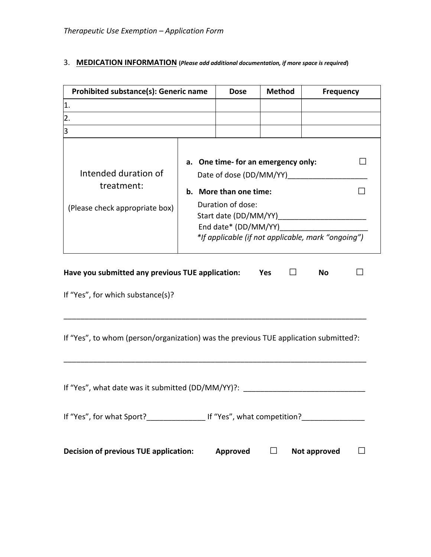# 3. **MEDICATION INFORMATION (***Please add additional documentation, if more space is required***)**

| <b>Prohibited substance(s): Generic name</b>                         | <b>Dose</b>                                                                                                             | <b>Method</b>                                                                             | <b>Frequency</b> |  |
|----------------------------------------------------------------------|-------------------------------------------------------------------------------------------------------------------------|-------------------------------------------------------------------------------------------|------------------|--|
| $\mathbf 1$ .                                                        |                                                                                                                         |                                                                                           |                  |  |
| $\overline{2}$ .                                                     |                                                                                                                         |                                                                                           |                  |  |
| 3                                                                    |                                                                                                                         |                                                                                           |                  |  |
| Intended duration of<br>treatment:<br>(Please check appropriate box) | Date of dose (DD/MM/YY)<br>b. More than one time:<br>Duration of dose:<br>Start date (DD/MM/YY)<br>End date* (DD/MM/YY) | a. One time- for an emergency only:<br>*If applicable (if not applicable, mark "ongoing") |                  |  |
| Have you submitted any previous TUE application:                     |                                                                                                                         | Yes                                                                                       | No               |  |
| If "Yes", for which substance(s)?                                    |                                                                                                                         |                                                                                           |                  |  |

If "Yes", to whom (person/organization) was the previous TUE application submitted?:

\_\_\_\_\_\_\_\_\_\_\_\_\_\_\_\_\_\_\_\_\_\_\_\_\_\_\_\_\_\_\_\_\_\_\_\_\_\_\_\_\_\_\_\_\_\_\_\_\_\_\_\_\_\_\_\_\_\_\_\_\_\_\_\_\_\_\_\_\_\_\_\_

\_\_\_\_\_\_\_\_\_\_\_\_\_\_\_\_\_\_\_\_\_\_\_\_\_\_\_\_\_\_\_\_\_\_\_\_\_\_\_\_\_\_\_\_\_\_\_\_\_\_\_\_\_\_\_\_\_\_\_\_\_\_\_\_\_\_\_\_\_\_\_\_

| <b>Decision of previous TUE application:</b>      | Approved                    | Not approved |  |
|---------------------------------------------------|-----------------------------|--------------|--|
| If "Yes", for what Sport?                         | If "Yes", what competition? |              |  |
| If "Yes", what date was it submitted (DD/MM/YY)?: |                             |              |  |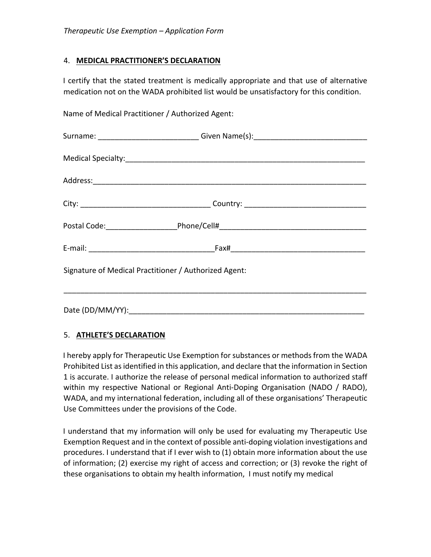## 4. **MEDICAL PRACTITIONER'S DECLARATION**

I certify that the stated treatment is medically appropriate and that use of alternative medication not on the WADA prohibited list would be unsatisfactory for this condition.

Name of Medical Practitioner / Authorized Agent:

|                                                       | Surname: __________________________Given Name(s):_______________________________  |  |
|-------------------------------------------------------|-----------------------------------------------------------------------------------|--|
|                                                       |                                                                                   |  |
|                                                       |                                                                                   |  |
|                                                       |                                                                                   |  |
|                                                       | Postal Code: ___________________________Phone/Cell#______________________________ |  |
|                                                       |                                                                                   |  |
| Signature of Medical Practitioner / Authorized Agent: |                                                                                   |  |
|                                                       |                                                                                   |  |
|                                                       |                                                                                   |  |

# 5. **ATHLETE'S DECLARATION**

I hereby apply for Therapeutic Use Exemption for substances or methods from the WADA Prohibited List as identified in this application, and declare that the information in Section 1 is accurate. I authorize the release of personal medical information to authorized staff within my respective National or Regional Anti-Doping Organisation (NADO / RADO), WADA, and my international federation, including all of these organisations' Therapeutic Use Committees under the provisions of the Code.

I understand that my information will only be used for evaluating my Therapeutic Use Exemption Request and in the context of possible anti-doping violation investigations and procedures. I understand that if I ever wish to (1) obtain more information about the use of information; (2) exercise my right of access and correction; or (3) revoke the right of these organisations to obtain my health information, I must notify my medical